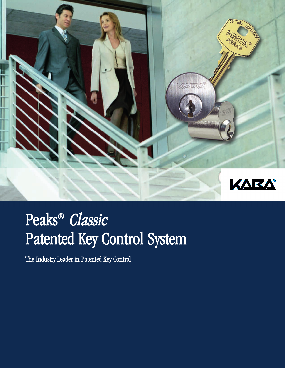

# Peaks ® Classic Patented Key Control System

The Industry Leader in Patented Key Control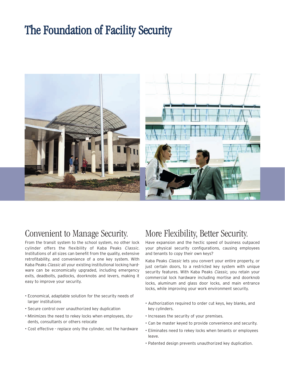## The Foundation of Facility Security



### Convenient to Manage Security.

From the transit system to the school system, no other lock cylinder offers the flexibility of Kaba Peaks Classic. Institutions of all sizes can benefit from the quality, extensive retrofitability, and convenience of a one key system. With Kaba Peaks Classic all your existing institutional locking hardware can be economically upgraded, including emergency exits, deadbolts, padlocks, doorknobs and levers, making it easy to improve your security.

- Economical, adaptable solution for the security needs of larger institutions
- Secure control over unauthorized key duplication
- Minimizes the need to rekey locks when employees, students, consultants or others relocate
- Cost effective replace only the cylinder, not the hardware

## More Flexibility, Better Security.

Have expansion and the hectic speed of business outpaced your physical security configurations, causing employees and tenants to copy their own keys?

Kaba Peaks Classic lets you convert your entire property, or just certain doors, to a restricted key system with unique security features. With Kaba Peaks Classic, you retain your commercial lock hardware including mortise and doorknob locks, aluminum and glass door locks, and main entrance locks, while improving your work environment security.

- Authorization required to order cut keys, key blanks, and key cylinders.
- Increases the security of your premises.
- Can be master keyed to provide convenience and security.
- Eliminates need to rekey locks when tenants or employees leave.
- Patented design prevents unauthorized key duplication.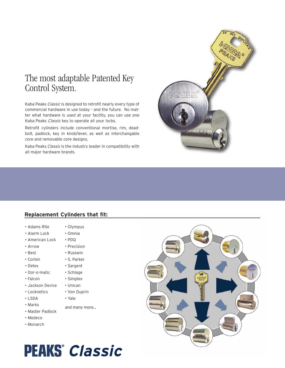## The most adaptable Patented Key Control System.

Kaba Peaks Classic is designed to retrofit nearly every type of commercial hardware in use today - and the future. No matter what hardware is used at your facility, you can use one Kaba Peaks Classic key to operate all your locks.

Retrofit cylinders include conventional mortise, rim, deadbolt, padlock, key in knob/lever, as well as interchangable core and removable core designs.

Kaba Peaks Classic is the industry leader in compatibility with all major hardware brands.

### **Replacement Cylinders that fit:**

- Adams Rite
- Alarm Lock
- American Lock
- Arrow
- Best
- Corbin
- Detex
- Dor-o-matic
- Falcon
- Jackson Device
- Locknetics
- LSDA
- Marks
- Master Padlock
- Medeco
- Monarch

#### • Olympus • Omnia

- PDQ
- Precision
- Russwin
- S. Parker
- 
- Sargent
- Schlage
- Simplex
- Unican
- Von Duprin
- Yale
- and many more...





**PEAKS**<sup>*Classic*</sup>